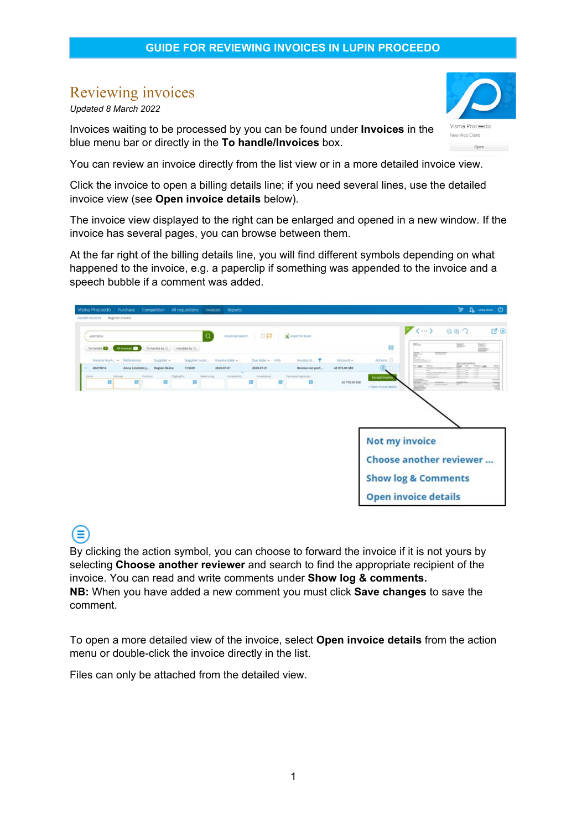# Reviewing invoices

*Updated 8 March 2022*

Έ

Invoices waiting to be processed by you can be found under **Invoices** in the blue menu bar or directly in the **To handle/Invoices** box.

You can review an invoice directly from the list view or in a more detailed invoice view.

Click the invoice to open a billing details line; if you need several lines, use the detailed invoice view (see **Open invoice details** below).

The invoice view displayed to the right can be enlarged and opened in a new window. If the invoice has several pages, you can browse between them.

At the far right of the billing details line, you will find different symbols depending on what happened to the invoice, e.g. a paperclip if something was appended to the invoice and a speech bubble if a comment was added.



By clicking the action symbol, you can choose to forward the invoice if it is not yours by selecting **Choose another reviewer** and search to find the appropriate recipient of the invoice. You can read and write comments under **Show log & comments. NB:** When you have added a new comment you must click **Save changes** to save the comment.

To open a more detailed view of the invoice, select **Open invoice details** from the action menu or double-click the invoice directly in the list.

Files can only be attached from the detailed view.

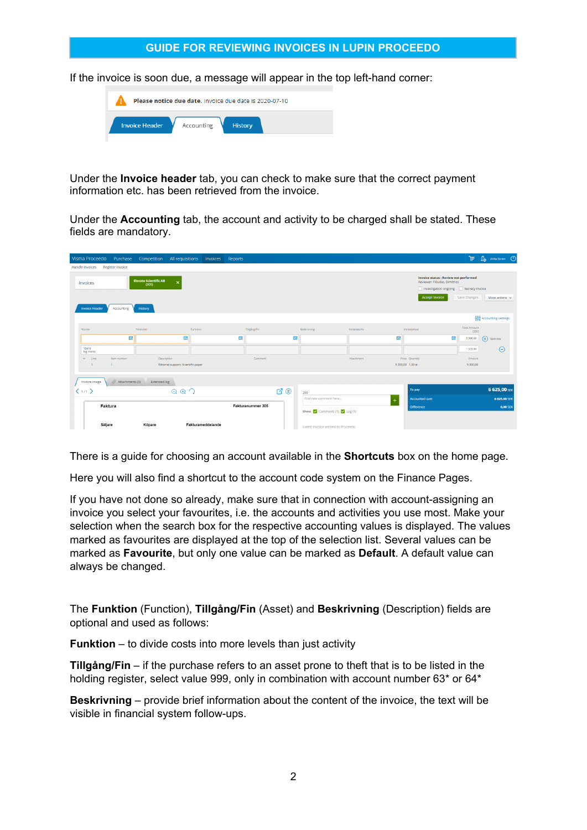#### **GUIDE FOR REVIEWING INVOICES IN LUPIN PROCEEDO**

If the invoice is soon due, a message will appear in the top left-hand corner:

| Please notice due date. Invoice due date is 2020-07-10 |            |                |  |  |  |  |  |  |
|--------------------------------------------------------|------------|----------------|--|--|--|--|--|--|
| <b>Invoice Header</b>                                  | Accounting | <b>History</b> |  |  |  |  |  |  |

Under the **Invoice header** tab, you can check to make sure that the correct payment information etc. has been retrieved from the invoice.

Under the **Accounting** tab, the account and activity to be charged shall be stated. These fields are mandatory.

| Visma Proceedo<br>Purchase                      | Competition<br>All requisitions                                               | Invoices<br>Reports |                   |                |                                                                     |               |                                                                                                                                         | La Ulrika Ström (1)<br>ভ            |
|-------------------------------------------------|-------------------------------------------------------------------------------|---------------------|-------------------|----------------|---------------------------------------------------------------------|---------------|-----------------------------------------------------------------------------------------------------------------------------------------|-------------------------------------|
| Register invoice<br>Handle invoices             |                                                                               |                     |                   |                |                                                                     |               |                                                                                                                                         |                                     |
| Invoices<br><b>Invoice Header</b><br>Accounting | <b>Elevate Scientific AB</b><br>$\boldsymbol{\mathsf{x}}$<br>(305)<br>History |                     |                   |                |                                                                     |               | <b>Invoice status : Review not performed</b><br>Reviewer: Floudas, Dimitrios<br>Investigation ongoing Secrecy invoice<br>Accept invoice | Save changes<br>More actions $\vee$ |
|                                                 |                                                                               |                     |                   |                |                                                                     |               |                                                                                                                                         | Accounting settings                 |
| *Konto<br>*Aktivitet                            |                                                                               | Funktion            | Tiligång/Fin      |                | Beskrivning                                                         | Intrastatinfo | Intrastatiod                                                                                                                            | <b>Total Amount</b><br>(SEK)        |
| 審                                               | 囩                                                                             |                     | 囩                 | 囩              |                                                                     | 局             | 局                                                                                                                                       | $\circledast$ Split row<br>5 300,00 |
| 15410<br>Ing moms                               |                                                                               |                     |                   |                |                                                                     |               |                                                                                                                                         | $\Theta$<br>1 325,00                |
| $\times$ Line<br>Item number                    | Description                                                                   |                     | Comment           |                |                                                                     | Attachment    | Price Quantity                                                                                                                          | Amount                              |
| $\overline{1}$<br>$\overline{1}$                | Editorial support: Scientific paper                                           |                     |                   |                |                                                                     |               | 5 300,00 1.00 st                                                                                                                        | 5 300,00                            |
| Attachments (0)<br>Invoice image                | Extended log                                                                  |                     |                   |                |                                                                     |               |                                                                                                                                         |                                     |
| $\langle 1/1 \rangle$                           | $Q Q Q Q$                                                                     |                     |                   | $\mathbb{C}^n$ | 255                                                                 |               | To pay                                                                                                                                  | 6 625,00 SEK                        |
|                                                 |                                                                               |                     |                   |                | Post new comment here                                               |               | <b>Accounted sum</b>                                                                                                                    | 6 625,00 SEK                        |
| Faktura                                         |                                                                               |                     | Fakturanummer 305 |                | Show $\sqrt{\phantom{a}}$ Comments (1) $\sqrt{\phantom{a}}$ Log (1) |               | <b>Difference</b>                                                                                                                       | <b>0,00 SEK</b>                     |
| Säljare                                         | Köpare                                                                        | Fakturameddelande   |                   |                | Event: Invoice arrived to Proceedo                                  |               |                                                                                                                                         |                                     |

There is a guide for choosing an account available in the **Shortcuts** box on the home page.

Here you will also find a shortcut to the account code system on the Finance Pages.

If you have not done so already, make sure that in connection with account-assigning an invoice you select your favourites, i.e. the accounts and activities you use most. Make your selection when the search box for the respective accounting values is displayed. The values marked as favourites are displayed at the top of the selection list. Several values can be marked as **Favourite**, but only one value can be marked as **Default**. A default value can always be changed.

The **Funktion** (Function), **Tillgång/Fin** (Asset) and **Beskrivning** (Description) fields are optional and used as follows:

**Funktion** – to divide costs into more levels than just activity

**Tillgång/Fin** – if the purchase refers to an asset prone to theft that is to be listed in the holding register, select value 999, only in combination with account number 63\* or 64\*

**Beskrivning** – provide brief information about the content of the invoice, the text will be visible in financial system follow-ups.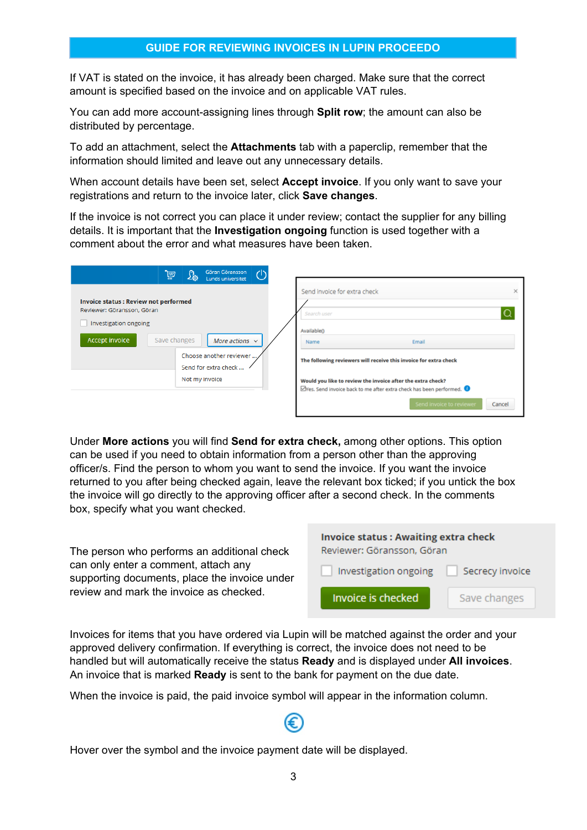## **GUIDE FOR REVIEWING INVOICES IN LUPIN PROCEEDO**

If VAT is stated on the invoice, it has already been charged. Make sure that the correct amount is specified based on the invoice and on applicable VAT rules.

You can add more account-assigning lines through **Split row**; the amount can also be distributed by percentage.

To add an attachment, select the **Attachments** tab with a paperclip, remember that the information should limited and leave out any unnecessary details.

When account details have been set, select **Accept invoice**. If you only want to save your registrations and return to the invoice later, click **Save changes**.

If the invoice is not correct you can place it under review; contact the supplier for any billing details. It is important that the **Investigation ongoing** function is used together with a comment about the error and what measures have been taken.

|                                                                                                                       | <u>lä</u>    | $\mathfrak{L}_3$ | Göran Göransson<br>Lunds universitet                                   |                                                                                                                                                                                    |   |
|-----------------------------------------------------------------------------------------------------------------------|--------------|------------------|------------------------------------------------------------------------|------------------------------------------------------------------------------------------------------------------------------------------------------------------------------------|---|
| <b>Invoice status : Review not performed</b><br>Reviewer: Göransson, Göran<br>Investigation ongoing<br>Accept invoice | Save changes |                  | More actions $\vee$<br>Choose another reviewer<br>Send for extra check | Send invoice for extra check<br>Search user<br>Available <sub>0</sub><br>Email<br>Name<br>The following reviewers will receive this invoice for extra check                        | × |
|                                                                                                                       |              |                  | Not my invoice                                                         | Would you like to review the invoice after the extra check?<br><b>E</b> Yes. Send invoice back to me after extra check has been performed. ●<br>Send invoice to reviewer<br>Cancel |   |

Under **More actions** you will find **Send for extra check,** among other options. This option can be used if you need to obtain information from a person other than the approving officer/s. Find the person to whom you want to send the invoice. If you want the invoice returned to you after being checked again, leave the relevant box ticked; if you untick the box the invoice will go directly to the approving officer after a second check. In the comments box, specify what you want checked.

The person who performs an additional check can only enter a comment, attach any supporting documents, place the invoice under review and mark the invoice as checked.

| <b>Invoice status: Awaiting extra check</b><br>Reviewer: Göransson, Göran |              |  |  |
|---------------------------------------------------------------------------|--------------|--|--|
| Investigation ongoing<br>Secrecy invoice                                  |              |  |  |
| Invoice is checked                                                        | Save changes |  |  |

Invoices for items that you have ordered via Lupin will be matched against the order and your approved delivery confirmation. If everything is correct, the invoice does not need to be handled but will automatically receive the status **Ready** and is displayed under **All invoices**. An invoice that is marked **Ready** is sent to the bank for payment on the due date.

When the invoice is paid, the paid invoice symbol will appear in the information column.

Hover over the symbol and the invoice payment date will be displayed.